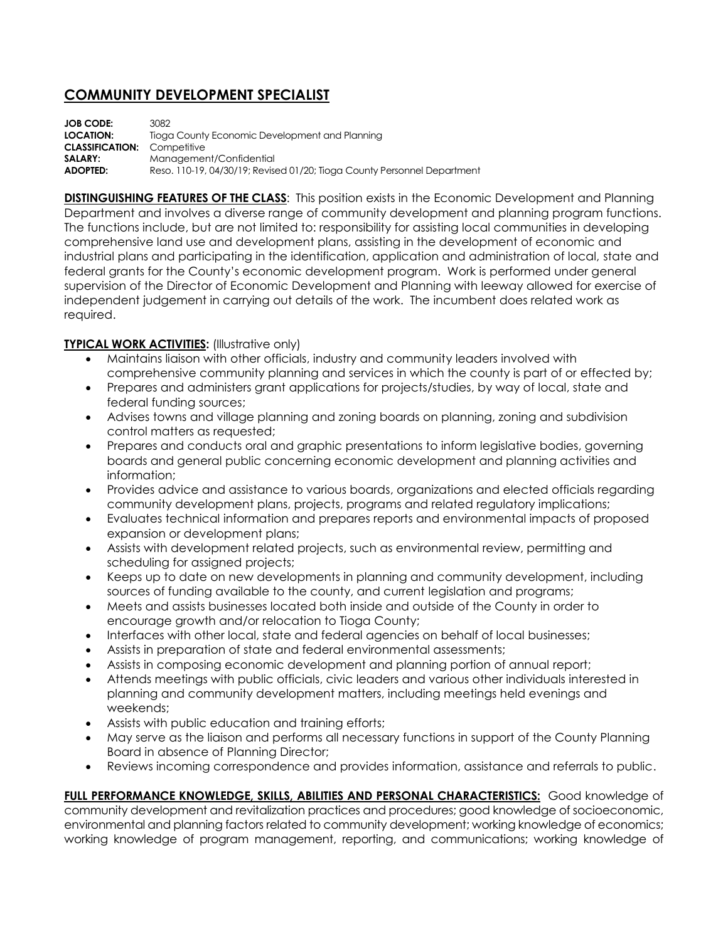## **COMMUNITY DEVELOPMENT SPECIALIST**

**JOB CODE:** 3082 **LOCATION:** Tioga County Economic Development and Planning **CLASSIFICATION:** Competitive **SALARY:** Management/Confidential **ADOPTED:** Reso. 110-19, 04/30/19; Revised 01/20; Tioga County Personnel Department

**DISTINGUISHING FEATURES OF THE CLASS**: This position exists in the Economic Development and Planning Department and involves a diverse range of community development and planning program functions. The functions include, but are not limited to: responsibility for assisting local communities in developing comprehensive land use and development plans, assisting in the development of economic and industrial plans and participating in the identification, application and administration of local, state and federal grants for the County's economic development program. Work is performed under general supervision of the Director of Economic Development and Planning with leeway allowed for exercise of independent judgement in carrying out details of the work. The incumbent does related work as required.

## **TYPICAL WORK ACTIVITIES: (Illustrative only)**

- Maintains liaison with other officials, industry and community leaders involved with comprehensive community planning and services in which the county is part of or effected by;
- Prepares and administers grant applications for projects/studies, by way of local, state and federal funding sources;
- Advises towns and village planning and zoning boards on planning, zoning and subdivision control matters as requested;
- Prepares and conducts oral and graphic presentations to inform legislative bodies, governing boards and general public concerning economic development and planning activities and information;
- Provides advice and assistance to various boards, organizations and elected officials regarding community development plans, projects, programs and related regulatory implications;
- Evaluates technical information and prepares reports and environmental impacts of proposed expansion or development plans;
- Assists with development related projects, such as environmental review, permitting and scheduling for assigned projects;
- Keeps up to date on new developments in planning and community development, including sources of funding available to the county, and current legislation and programs;
- Meets and assists businesses located both inside and outside of the County in order to encourage growth and/or relocation to Tioga County;
- Interfaces with other local, state and federal agencies on behalf of local businesses;
- Assists in preparation of state and federal environmental assessments;
- Assists in composing economic development and planning portion of annual report;
- Attends meetings with public officials, civic leaders and various other individuals interested in planning and community development matters, including meetings held evenings and weekends;
- Assists with public education and training efforts;
- May serve as the liaison and performs all necessary functions in support of the County Planning Board in absence of Planning Director;
- Reviews incoming correspondence and provides information, assistance and referrals to public.

**FULL PERFORMANCE KNOWLEDGE, SKILLS, ABILITIES AND PERSONAL CHARACTERISTICS:** Good knowledge of community development and revitalization practices and procedures; good knowledge of socioeconomic, environmental and planning factors related to community development; working knowledge of economics; working knowledge of program management, reporting, and communications; working knowledge of